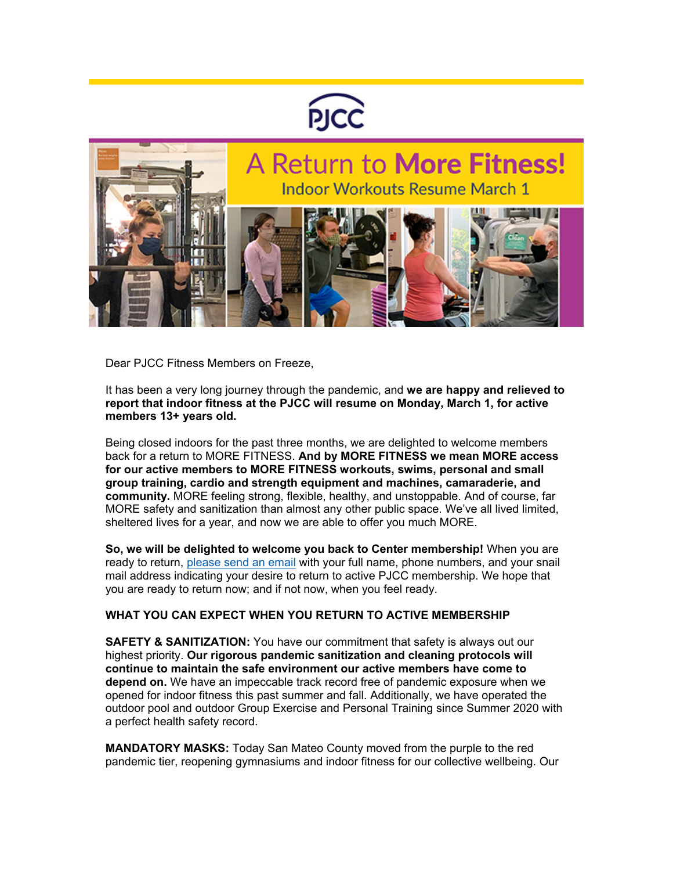



Dear PJCC Fitness Members on Freeze,

It has been a very long journey through the pandemic, and **we are happy and relieved to report that indoor fitness at the PJCC will resume on Monday, March 1, for active members 13+ years old.**

Being closed indoors for the past three months, we are delighted to welcome members back for a return to MORE FITNESS. **And by MORE FITNESS we mean MORE access for our active members to MORE FITNESS workouts, swims, personal and small group training, cardio and strength equipment and machines, camaraderie, and community.** MORE feeling strong, flexible, healthy, and unstoppable. And of course, far MORE safety and sanitization than almost any other public space. We've all lived limited, sheltered lives for a year, and now we are able to offer you much MORE.

**So, we will be delighted to welcome you back to Center membership!** When you are ready to return, [please send an email](mailto:membership@pjcc.org) with your full name, phone numbers, and your snail mail address indicating your desire to return to active PJCC membership. We hope that you are ready to return now; and if not now, when you feel ready.

## **WHAT YOU CAN EXPECT WHEN YOU RETURN TO ACTIVE MEMBERSHIP**

**SAFETY & SANITIZATION:** You have our commitment that safety is always out our highest priority. **Our rigorous pandemic sanitization and cleaning protocols will continue to maintain the safe environment our active members have come to depend on.** We have an impeccable track record free of pandemic exposure when we opened for indoor fitness this past summer and fall. Additionally, we have operated the outdoor pool and outdoor Group Exercise and Personal Training since Summer 2020 with a perfect health safety record.

**MANDATORY MASKS:** Today San Mateo County moved from the purple to the red pandemic tier, reopening gymnasiums and indoor fitness for our collective wellbeing. Our